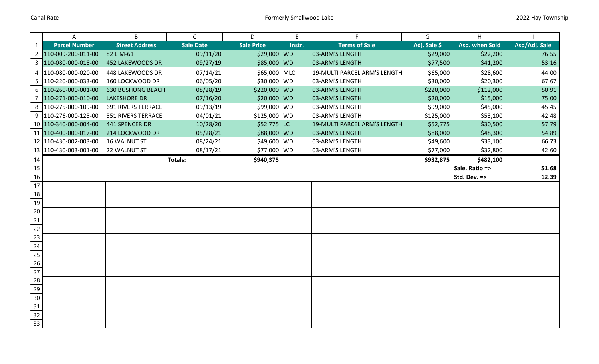|                 | Α                       | B                         | $\mathsf{C}$     | D                 | Ε      | F                            | G            | H              |               |
|-----------------|-------------------------|---------------------------|------------------|-------------------|--------|------------------------------|--------------|----------------|---------------|
| $\mathbf{1}$    | <b>Parcel Number</b>    | <b>Street Address</b>     | <b>Sale Date</b> | <b>Sale Price</b> | Instr. | <b>Terms of Sale</b>         | Adj. Sale \$ | Asd. when Sold | Asd/Adj. Sale |
|                 | 2 110-009-200-011-00    | 82 E M-61                 | 09/11/20         | \$29,000 WD       |        | 03-ARM'S LENGTH              | \$29,000     | \$22,200       | 76.55         |
|                 | 3 110-080-000-018-00    | 452 LAKEWOODS DR          | 09/27/19         | \$85,000 WD       |        | 03-ARM'S LENGTH              | \$77,500     | \$41,200       | 53.16         |
| 4               | 110-080-000-020-00      | 448 LAKEWOODS DR          | 07/14/21         | \$65,000 MLC      |        | 19-MULTI PARCEL ARM'S LENGTH | \$65,000     | \$28,600       | 44.00         |
| 5               | 110-220-000-033-00      | 160 LOCKWOOD DR           | 06/05/20         | \$30,000 WD       |        | 03-ARM'S LENGTH              | \$30,000     | \$20,300       | 67.67         |
|                 | 6 110-260-000-001-00    | <b>630 BUSHONG BEACH</b>  | 08/28/19         | \$220,000 WD      |        | 03-ARM'S LENGTH              | \$220,000    | \$112,000      | 50.91         |
| 7               | 110-271-000-010-00      | <b>LAKESHORE DR</b>       | 07/16/20         | \$20,000 WD       |        | 03-ARM'S LENGTH              | \$20,000     | \$15,000       | 75.00         |
|                 | 8 110-275-000-109-00    | <b>691 RIVERS TERRACE</b> | 09/13/19         | \$99,000 WD       |        | 03-ARM'S LENGTH              | \$99,000     | \$45,000       | 45.45         |
|                 | 9 110-276-000-125-00    | 551 RIVERS TERRACE        | 04/01/21         | \$125,000 WD      |        | 03-ARM'S LENGTH              | \$125,000    | \$53,100       | 42.48         |
|                 | 10 110-340-000-004-00   | 441 SPENCER DR            | 10/28/20         | \$52,775 LC       |        | 19-MULTI PARCEL ARM'S LENGTH | \$52,775     | \$30,500       | 57.79         |
|                 | 11 110-400-000-017-00   | 214 LOCKWOOD DR           | 05/28/21         | \$88,000 WD       |        | 03-ARM'S LENGTH              | \$88,000     | \$48,300       | 54.89         |
|                 | 12 110-430-002-003-00   | <b>16 WALNUT ST</b>       | 08/24/21         | \$49,600 WD       |        | 03-ARM'S LENGTH              | \$49,600     | \$33,100       | 66.73         |
|                 | 13   110-430-003-001-00 | 22 WALNUT ST              | 08/17/21         | \$77,000 WD       |        | 03-ARM'S LENGTH              | \$77,000     | \$32,800       | 42.60         |
| 14              |                         |                           | Totals:          | \$940,375         |        |                              | \$932,875    | \$482,100      |               |
| $\overline{15}$ |                         |                           |                  |                   |        |                              |              | Sale. Ratio => | 51.68         |
| 16              |                         |                           |                  |                   |        |                              |              | Std. Dev. =>   | 12.39         |
| 17              |                         |                           |                  |                   |        |                              |              |                |               |
| $18\,$          |                         |                           |                  |                   |        |                              |              |                |               |
| 19              |                         |                           |                  |                   |        |                              |              |                |               |
| $20\,$          |                         |                           |                  |                   |        |                              |              |                |               |
| 21              |                         |                           |                  |                   |        |                              |              |                |               |
| 22              |                         |                           |                  |                   |        |                              |              |                |               |
| 23              |                         |                           |                  |                   |        |                              |              |                |               |
| $\overline{24}$ |                         |                           |                  |                   |        |                              |              |                |               |
| 25              |                         |                           |                  |                   |        |                              |              |                |               |
| 26              |                         |                           |                  |                   |        |                              |              |                |               |
| 27              |                         |                           |                  |                   |        |                              |              |                |               |
| 28              |                         |                           |                  |                   |        |                              |              |                |               |
| 29              |                         |                           |                  |                   |        |                              |              |                |               |
| 30              |                         |                           |                  |                   |        |                              |              |                |               |
| 31              |                         |                           |                  |                   |        |                              |              |                |               |
| $\overline{32}$ |                         |                           |                  |                   |        |                              |              |                |               |
| 33              |                         |                           |                  |                   |        |                              |              |                |               |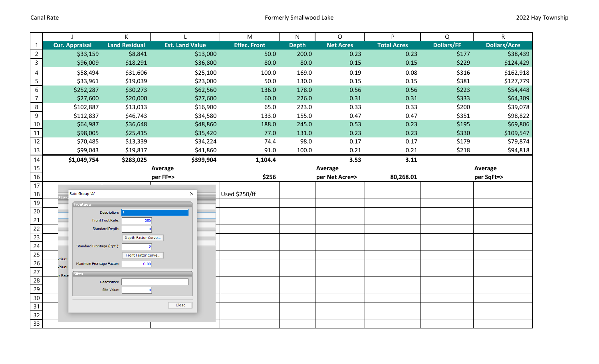|                 | $\mathbf{I}$                      | К                       |                        | ${\sf M}$           | ${\sf N}$    | $\circ$          | P                  | Q                 | ${\sf R}$           |
|-----------------|-----------------------------------|-------------------------|------------------------|---------------------|--------------|------------------|--------------------|-------------------|---------------------|
| $\mathbf{1}$    | Cur. Appraisal                    | <b>Land Residual</b>    | <b>Est. Land Value</b> | <b>Effec. Front</b> | <b>Depth</b> | <b>Net Acres</b> | <b>Total Acres</b> | <b>Dollars/FF</b> | <b>Dollars/Acre</b> |
| $\overline{2}$  | \$33,159                          | \$8,841                 | \$13,000               | 50.0                | 200.0        | 0.23             | 0.23               | \$177             | \$38,439            |
| $\overline{3}$  | \$96,009                          | \$18,291                | \$36,800               | 80.0                | 80.0         | 0.15             | 0.15               | \$229             | \$124,429           |
| $\overline{4}$  | \$58,494                          | \$31,606                | \$25,100               | 100.0               | 169.0        | 0.19             | 0.08               | \$316             | \$162,918           |
| $\overline{5}$  | \$33,961                          | \$19,039                | \$23,000               | 50.0                | 130.0        | 0.15             | 0.15               | \$381             | \$127,779           |
| $6\phantom{a}$  | \$252,287                         | \$30,273                | \$62,560               | 136.0               | 178.0        | 0.56             | 0.56               | \$223             | \$54,448            |
| $\overline{7}$  | \$27,600                          | \$20,000                | \$27,600               | 60.0                | 226.0        | 0.31             | 0.31               | \$333             | \$64,309            |
| $\bf 8$         | \$102,887                         | \$13,013                | \$16,900               | 65.0                | 223.0        | 0.33             | 0.33               | \$200             | \$39,078            |
| $9\,$           | \$112,837                         | \$46,743                | \$34,580               | 133.0               | 155.0        | 0.47             | 0.47               | \$351             | \$98,822            |
| $10$            | \$64,987                          | \$36,648                | \$48,860               | 188.0               | 245.0        | 0.53             | 0.23               | \$195             | \$69,806            |
| 11              | \$98,005                          | \$25,415                | \$35,420               | 77.0                | 131.0        | 0.23             | 0.23               | \$330             | \$109,547           |
| 12              | \$70,485                          | \$13,339                | \$34,224               | 74.4                | 98.0         | 0.17             | 0.17               | \$179             | \$79,874            |
| 13              | \$99,043                          | \$19,817                | \$41,860               | 91.0                | 100.0        | 0.21             | 0.21               | \$218             | \$94,818            |
| 14              | \$1,049,754                       | \$283,025               | \$399,904              | 1,104.4             |              | 3.53             | 3.11               |                   |                     |
| 15              |                                   |                         | Average                |                     |              | Average          |                    |                   | Average             |
| $16\,$          |                                   |                         | per FF=>               | \$256               |              | per Net Acre=>   | 80,268.01          |                   | per SqFt=>          |
| 17              |                                   |                         |                        |                     |              |                  |                    |                   |                     |
| 18              | Rate Group 'A'                    |                         | $\times$               | Used \$250/ff       |              |                  |                    |                   |                     |
| 19              | <b>Frontage</b>                   |                         |                        |                     |              |                  |                    |                   |                     |
| $20\,$          |                                   | Description:            |                        |                     |              |                  |                    |                   |                     |
| $\overline{21}$ |                                   | Front Foot Rate:<br>250 |                        |                     |              |                  |                    |                   |                     |
| 22              |                                   | Standard Depth:         |                        |                     |              |                  |                    |                   |                     |
| 23              |                                   | Depth Factor Curve      |                        |                     |              |                  |                    |                   |                     |
| 24              | Standard Frontage (Opt.):         |                         | $\overline{0}$         |                     |              |                  |                    |                   |                     |
| $\overline{25}$ | alue:                             | Front Factor Curve      |                        |                     |              |                  |                    |                   |                     |
| 26              | Maximum Frontage Factor:<br>alue: | 0.00                    |                        |                     |              |                  |                    |                   |                     |
| 27<br>28        | ites<br>s Rate                    |                         |                        |                     |              |                  |                    |                   |                     |
| $\overline{29}$ |                                   | Description:            |                        |                     |              |                  |                    |                   |                     |
| 30              |                                   | Site Value:             | 0                      |                     |              |                  |                    |                   |                     |
| 31              |                                   |                         | Close                  |                     |              |                  |                    |                   |                     |
| 32              |                                   |                         |                        |                     |              |                  |                    |                   |                     |
|                 |                                   |                         |                        |                     |              |                  |                    |                   |                     |